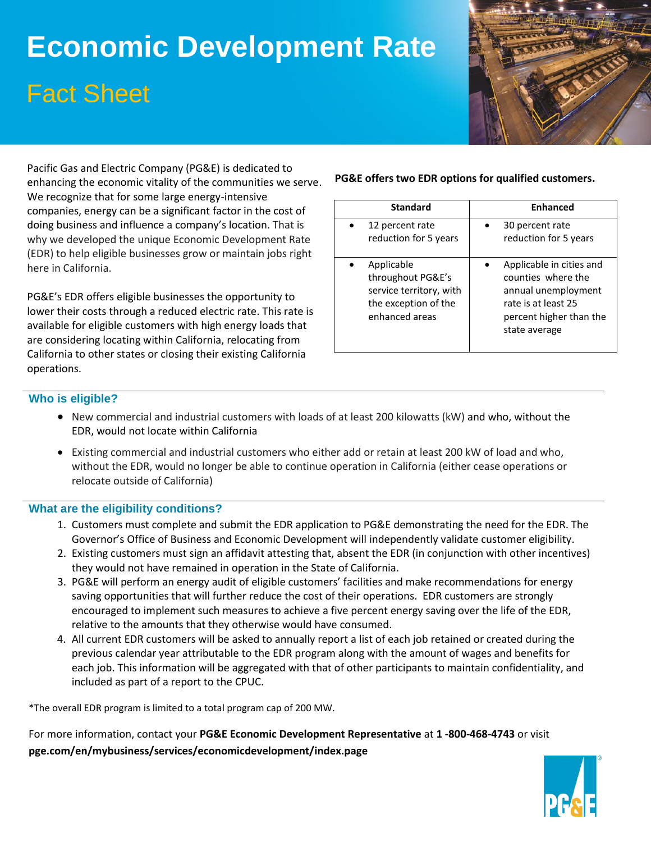# **Economic Development Rate** Fact Sheet



Pacific Gas and Electric Company (PG&E) is dedicated to enhancing the economic vitality of the communities we serve. We recognize that for some large energy-intensive companies, energy can be a significant factor in the cost of doing business and influence a company's location. That is why we developed the unique Economic Development Rate (EDR) to help eligible businesses grow or maintain jobs right here in California.

PG&E's EDR offers eligible businesses the opportunity to lower their costs through a reduced electric rate. This rate is available for eligible customers with high energy loads that are considering locating within California, relocating from California to other states or closing their existing California operations.

#### **PG&E offers two EDR options for qualified customers.**

| <b>Standard</b>                                                                                      | <b>Enhanced</b>                                                                                                                          |
|------------------------------------------------------------------------------------------------------|------------------------------------------------------------------------------------------------------------------------------------------|
| 12 percent rate<br>reduction for 5 years                                                             | 30 percent rate<br>reduction for 5 years                                                                                                 |
| Applicable<br>throughout PG&E's<br>service territory, with<br>the exception of the<br>enhanced areas | Applicable in cities and<br>counties where the<br>annual unemployment<br>rate is at least 25<br>percent higher than the<br>state average |

#### **Who is eligible?**

- New commercial and industrial customers with loads of at least 200 kilowatts (kW) and who, without the EDR, would not locate within California
- Existing commercial and industrial customers who either add or retain at least 200 kW of load and who, without the EDR, would no longer be able to continue operation in California (either cease operations or relocate outside of California)

#### **What are the eligibility conditions?**

- 1. Customers must complete and submit the EDR application to PG&E demonstrating the need for the EDR. The Governor's Office of Business and Economic Development will independently validate customer eligibility.
- 2. Existing customers must sign an affidavit attesting that, absent the EDR (in conjunction with other incentives) they would not have remained in operation in the State of California.
- 3. PG&E will perform an energy audit of eligible customers' facilities and make recommendations for energy saving opportunities that will further reduce the cost of their operations. EDR customers are strongly encouraged to implement such measures to achieve a five percent energy saving over the life of the EDR, relative to the amounts that they otherwise would have consumed.
- 4. All current EDR customers will be asked to annually report a list of each job retained or created during the previous calendar year attributable to the EDR program along with the amount of wages and benefits for each job. This information will be aggregated with that of other participants to maintain confidentiality, and included as part of a report to the CPUC.

\*The overall EDR program is limited to a total program cap of 200 MW.

For more information, contact your **PG&E Economic Development Representative** at **1 -800-468-4743** or visit **pge.com/en/mybusiness/services/economicdevelopment/index.page**